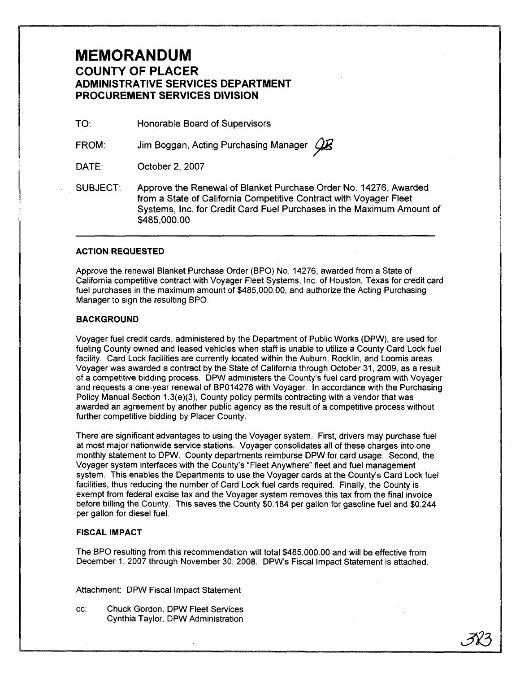## **MEMORANDUM COUNTY OF PLACER ADMINISTRATIVE SERVICES DEPARTMENT PROCUREMENT SERVICES DIVISION**

TO<sup>-</sup> Honorable Board of Supervisors

FROM: Jim Boggan, Acting Purchasing Manager  $Q\bar{Z}$ 

DATE: October 2, 2007

SUBJECT: Approve the Renewal of Blanket Purchase Order No. 14276, Awarded from a State of California Competitive Contract with Voyager Fleet Systems, Inc. for Credit Card Fuel Purchases in the Maximum Amount of \$485,000.00

#### **ACTION REQUESTED**

Approve the renewal Blanket Purchase Order (BPO) No. 14276, awarded from a State of California competitive contract with Voyager Fleet Systems, Inc. of Houston, Texas for credit card fuel purchases in the maximum amount of \$485,000.00, and authorize the Acting Purchasing Manager to sign the resulting BPO.

#### **BACKGROUND**

Voyager fuel credit cards, administered by the Department of Public Works (DPW), are used for fueling County owned and leased vehicles when staff is unable to utilize a County Card Lock fuel facility. Card Lock facilities are currently located within the Auburn, Rocklin, and Loomis areas. Voyager was awarded a contract by the State of California through October 31, 2009, as a result of a competitive bidding process. DPW administers the County's fuel card program with Voyager and requests a one-year renewal of BP014276 with Voyager. In accordance with the Purchasing Policy Manual Section 1.3(e)(3), County policy permits contracting with a vendor that was awarded an agreement by another public agency as the result of a competitive process without further competitive bidding by Placer County.

There are significant advantages to using the Voyager system. First, drivers may purchase fuel at most major nationwide service stations. Voyager consolidates all of these charges into.one monthly statement to DPW. County departments reimburse DPW for card usage. Second, the Voyager system interfaces with the County's "Fleet Anywhere" fleet and fuel management system. This enables the Departments to use the Voyager cards at the County's Card Lock fuel facilities, thus reducing the number of Card Lock fuel cards required. Finally, the County is exempt from federal excise tax and the Voyager system removes this tax from the final invoice before billing the County. This saves the County \$0.184 per gallon for gasoline fuel and \$0.244 per gallon for diesel fuel.

### **FISCAL IMPACT**

The BPO resulting from this recommendation will total \$485,000.00 and will be effective from December 1,2007 through November 30,2008. DPW's Fiscal Impact Statement is attached.

Attachment: DPW Fiscal Impact Statement

cc: Chuck Gordon, DPW Fleet Services Cynthia Taylor, DPW Administration